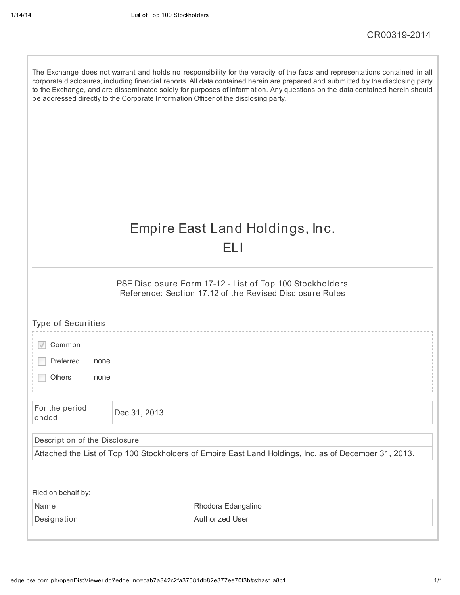| The Exchange does not warrant and holds no responsibility for the veracity of the facts and representations contained in all<br>corporate disclosures, including financial reports. All data contained herein are prepared and submitted by the disclosing party<br>to the Exchange, and are disseminated solely for purposes of information. Any questions on the data contained herein should<br>be addressed directly to the Corporate Information Officer of the disclosing party. |              |                                                                                                                      |  |  |  |  |  |
|----------------------------------------------------------------------------------------------------------------------------------------------------------------------------------------------------------------------------------------------------------------------------------------------------------------------------------------------------------------------------------------------------------------------------------------------------------------------------------------|--------------|----------------------------------------------------------------------------------------------------------------------|--|--|--|--|--|
|                                                                                                                                                                                                                                                                                                                                                                                                                                                                                        |              | Empire East Land Holdings, Inc.<br>H I                                                                               |  |  |  |  |  |
|                                                                                                                                                                                                                                                                                                                                                                                                                                                                                        |              | PSE Disclosure Form 17-12 - List of Top 100 Stockholders<br>Reference: Section 17.12 of the Revised Disclosure Rules |  |  |  |  |  |
| <b>Type of Securities</b>                                                                                                                                                                                                                                                                                                                                                                                                                                                              |              |                                                                                                                      |  |  |  |  |  |
| Common                                                                                                                                                                                                                                                                                                                                                                                                                                                                                 |              |                                                                                                                      |  |  |  |  |  |
| Preferred<br>none                                                                                                                                                                                                                                                                                                                                                                                                                                                                      |              |                                                                                                                      |  |  |  |  |  |
| <b>Others</b><br>none                                                                                                                                                                                                                                                                                                                                                                                                                                                                  |              |                                                                                                                      |  |  |  |  |  |
| For the period<br>ended                                                                                                                                                                                                                                                                                                                                                                                                                                                                | Dec 31, 2013 |                                                                                                                      |  |  |  |  |  |
| Description of the Disclosure                                                                                                                                                                                                                                                                                                                                                                                                                                                          |              |                                                                                                                      |  |  |  |  |  |
| Attached the List of Top 100 Stockholders of Empire East Land Holdings, Inc. as of December 31, 2013.                                                                                                                                                                                                                                                                                                                                                                                  |              |                                                                                                                      |  |  |  |  |  |
|                                                                                                                                                                                                                                                                                                                                                                                                                                                                                        |              |                                                                                                                      |  |  |  |  |  |
| Filed on behalf by:                                                                                                                                                                                                                                                                                                                                                                                                                                                                    |              |                                                                                                                      |  |  |  |  |  |
| Name                                                                                                                                                                                                                                                                                                                                                                                                                                                                                   |              | Rhodora Edangalino                                                                                                   |  |  |  |  |  |
| Designation                                                                                                                                                                                                                                                                                                                                                                                                                                                                            |              | <b>Authorized User</b>                                                                                               |  |  |  |  |  |
|                                                                                                                                                                                                                                                                                                                                                                                                                                                                                        |              |                                                                                                                      |  |  |  |  |  |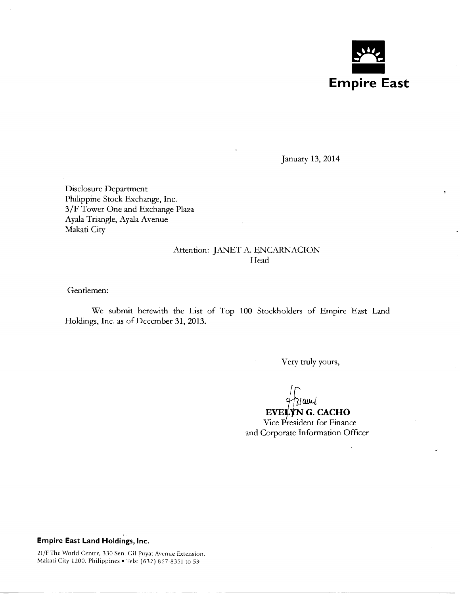

January 13, 2014

Disclosure Department Philippine Stock Exchange, Inc. 3/F Tower One and Exchange Plaza Ayala Triangle, Ayala Avenue Makati City

## Attention: JANET A. ENCARNACION **Head**

Gentlemen:

We submit herewith the List of Top 100 Stockholders of Empire East Land Holdings, Inc. as of December 31, 2013.

Very truly yours,

 $\frac{4}{3}$  and G. CACHO

Vice President for Finance and Corporate Information Officer

## **Empire East Land Holdings, Inc.**

- ---------

21/F The World Centre, 330 Sen. Gil Puyat Avenue Extension, Makati City 1200, Philippines • Tels: (632) 867-8351 to 59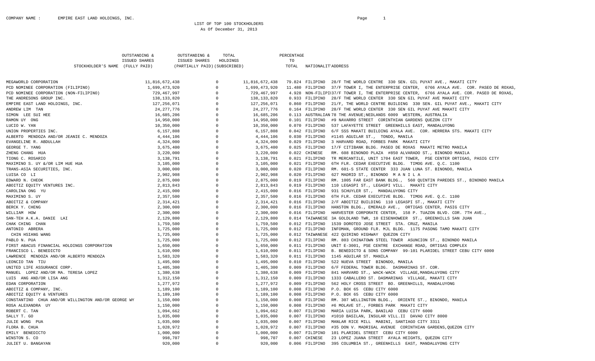## LIST OF TOP 100 STOCKHOLDERS As Of December 31, 2013

|                                                     | OUTSTANDING &        | OUTSTANDING &                 | TOTAL          |                | PERCENTAGE |                    |                                                                                           |
|-----------------------------------------------------|----------------------|-------------------------------|----------------|----------------|------------|--------------------|-------------------------------------------------------------------------------------------|
|                                                     | <b>ISSUED SHARES</b> | ISSUED SHARES                 | HOLDINGS       |                | TO         |                    |                                                                                           |
| STOCKHOLDER'S NAME (FULLY PAID)                     |                      | (PARTIALLY PAID) (SUBSCRIBED) |                |                | TOTAL      | NATIONALIT ADDRESS |                                                                                           |
|                                                     |                      |                               |                |                |            |                    |                                                                                           |
| MEGAWORLD CORPORATION                               | 11,816,672,438       |                               | $\overline{0}$ | 11,816,672,438 |            |                    | 79.824 FILIPINO 28/F THE WORLD CENTRE 330 SEN. GIL PUYAT AVE., MAKATI CITY                |
| PCD NOMINEE CORPORATION (FILIPINO)                  | 1,699,473,920        |                               | $\overline{0}$ | 1,699,473,920  |            |                    | 11.480 FILIPINO 37/F TOWER I, THE ENTERPRISE CENTER, 6766 AYALA AVE. COR. PASEO DE ROXAS, |
| PCD NOMINEE CORPORATION (NON-FILIPINO)              | 729,467,997          |                               | $\Omega$       | 729,467,997    |            |                    | 4.928 NON-FILIPI37/F TOWER I, THE ENTERPRISE CENTER, 6766 AYALA AVE. COR. PASEO DE ROXAS, |
| THE ANDRESONS GROUP INC.                            | 138,133,820          |                               | $\Omega$       | 138, 133, 820  |            |                    | 0.933 FILIPINO 28/F THE WORLD CENTER 330 SEN GIL PUYAT AVE MAKATI CITY                    |
| EMPIRE EAST LAND HOLDINGS, INC.                     | 127,256,071          |                               | $\Omega$       | 127,256,071    |            |                    | 0.860 FILIPINO 21/F, THE WORLD CENTRE BUILDING 330 SEN. GIL PUYAT AVE., MAKATI CITY       |
| ANDREW LIM TAN                                      | 24, 277, 776         |                               | $\Omega$       | 24, 277, 776   |            |                    | 0.164 FILIPINO 28/F THE WORLD CENTER 330 SEN GIL PUYAT AVE MAKATI CITY                    |
| SIMON LEE SUI HEE                                   | 16,685,206           |                               | $\Omega$       | 16,685,206     |            |                    | 0.113 AUSTRALIAN 78 THE AVENUE; NEDLANDS 6009 WESTERN, AUSTRALIA                          |
| RAMON UY ONG                                        | 14,950,000           |                               | $\Omega$       | 14,950,000     |            |                    | 0.101 FILIPINO #9 NAVARRO STREET CORINTHIAN GARDENS OUEZON CITY                           |
| LUCIO W. YAN                                        | 10,350,000           |                               | $\Omega$       | 10,350,000     |            |                    | 0.070 FILIPINO 537 LAFAYETTE STREET GREENHILLS EAST, MANDALUYONG                          |
| UNION PROPERTIES INC.                               | 6,157,808            |                               | $\Omega$       | 6,157,808      |            |                    | 0.042 FILIPINO 6/F SSS MAKATI BUILDING AYALA AVE. COR. HERRERA STS. MAKATI CITY           |
| ALBERTO MENDOZA AND/OR JEANIE C. MENDOZA            | 4,444,106            |                               | $\Omega$       | 4,444,106      |            |                    | 0.030 FILIPINO #1145 AGUILAR ST., TONDO, MANILA                                           |
| EVANGELINE R. ABDULLAH                              | 4,324,000            |                               | $\Omega$       | 4,324,000      |            |                    | 0.029 FILIPINO 3 HARVARD ROAD, FORBES PARK MAKATI CITY                                    |
| GEORGE T. YANG                                      | 3,675,400            |                               | $\circ$        | 3,675,400      |            |                    | 0.025 FILIPINO 17/F CITIBANK BLDG. PASEO DE ROXAS MAKATI METRO MANILA                     |
| ZHENG CHANG HUA                                     | 3,220,000            |                               | $\Omega$       | 3,220,000      |            |                    | 0.022 CHINESE RM. 608 BINONDO PLAZA #850 ALVARADO ST., BINONDO MANILA                     |
| TIONG C. ROSARIO                                    | 3,138,791            |                               | $\Omega$       | 3,138,791      |            |                    | 0.021 FILIPINO TR MERCANTILE, UNIT 1704 EAST TOWER, PSE CENTER ORTIGAS, PASIG CITY        |
| MAXIMINO S. UY &/OR LIM HUE HUA                     | 3,105,000            |                               | $\Omega$       | 3,105,000      |            |                    | 0.021 FILIPINO 6TH FLR. CEDAR EXECUTIVE BLDG. TIMOG AVE. Q.C. 1100                        |
| TRANS-ASIA SECURITIES, INC.                         | 3,000,000            |                               | $\Omega$       | 3,000,000      |            |                    | 0.020 FILIPINO RM. 601-S STATE CENTER 333 JUAN LUNA ST. BINONDO, MANILA                   |
| LUISA CO LI                                         | 2,902,908            |                               | $\Omega$       | 2,902,908      |            |                    | 0.020 FILIPINO 627 MADRID ST., BINONDO MANILA                                             |
| EDWARD N. CHEOK                                     | 2,875,000            |                               | $\Omega$       | 2,875,000      |            |                    | 0.019 FILIPINO RM. 1005 FAR EAST BANK BLDG., 560 QUINTIN PAREDES ST., BINONDO MANILA      |
| ABOITIZ EQUITY VENTURES INC.                        | 2,813,843            |                               | $\Omega$       | 2,813,843      |            |                    | 0.019 FILIPINO 110 LEGASPI ST., LEGASPI VILL. MAKATI CITY                                 |
| CAROLINA ONG YU                                     | 2,415,000            |                               | $\overline{0}$ | 2,415,000      |            |                    | 0.016 FILIPINO 931 SCHUYLER ST., MANDALUYONG CITY                                         |
| MAXIMINO S. UY                                      | 2,357,500            |                               | $\Omega$       | 2,357,500      |            |                    | 0.016 FILIPINO 6TH FLR. CEDAR EXECUTIVE BLDG. TIMOG AVE. O.C. 1100                        |
| ABOITIZ & COMPANY                                   | 2,314,421            |                               | $\Omega$       | 2,314,421      |            |                    | 0.016 FILIPINO 2/F ABOITIZ BUILDING 110 LEGASPI ST., MAKATI CITY                          |
| BERCK Y. CHENG                                      | 2,300,000            |                               | $\mathbf{0}$   | 2,300,000      |            | 0.016 FILIPINO     | HANSTON BLDG., EMERALD AVE., ORTIGAS CENTER, PASIG CITY                                   |
| WILLIAM HOW                                         | 2,300,000            |                               | $\Omega$       | 2,300,000      |            |                    | 0.016 FILIPINO HARVESTER CORPORATE CENTER, 158 P. TUAZON BLVD. COR. 7TH AVE.,             |
| SAN-TEH A.K.A. DANIE LAI                            | 2,129,800            |                               | $\Omega$       | 2,129,800      |            |                    | 0.014 TAIWANESE 3A GOLDLAND TWR, 10 EISENHOWEER ST., GREENHILLS SAN JUAN                  |
| CHAK CHING CHAN                                     | 1,759,500            |                               | $\Omega$       | 1,759,500      |            |                    | 0.012 FILIPINO 1539 DOROTEO JOSE STREET STA. CRUZ, MANILA                                 |
| ANTONIO ABRERA                                      | 1,725,000            |                               | $\Omega$       | 1,725,000      |            |                    | 0.012 FILIPINO INFOMAN, GROUND FLR. MJL BLDG. 1175 PASONG TAMO MAKATI CITY                |
| CHIN HSIANG WANG                                    | 1,725,000            |                               | $\Omega$       | 1,725,000      |            |                    | 0.012 TAIWANESE 422 QUIRINO HIGHWAY QUEZON CITY                                           |
| PABLO N. PUA                                        | 1,725,000            |                               | $\Omega$       | 1,725,000      |            |                    | 0.012 FILIPINO RM. 803 CHINATOWN STEEL TOWER ASUNCION ST., BINONDO MANILA                 |
| FIRST ABACUS FINANCIAL HOLDINGS CORPORATION         | 1,650,000            |                               | $\Omega$       | 1,650,000      |            |                    | 0.011 FILIPINO UNIT E-3001, PSE CENTRE EXCHANGE ROAD, ORTIGAS COMPLEX                     |
| FRANCISCO L. BENEDICTO                              | 1,610,000            |                               | $\Omega$       | 1,610,000      |            |                    | 0.011 FILIPINO B. BENEDICTO & SONS COMPANY 99-101 PLARIDEL STREET CEBU CITY 6000          |
| LAWRENCE MENDOZA AND/OR ALBERTO MENDOZA             | 1,583,320            |                               | $\overline{0}$ | 1,583,320      |            |                    | 0.011 FILIPINO 1145 AGUILAR ST. MANILA                                                    |
| LEONCIO TAN TIU                                     | 1,495,000            |                               | $\Omega$       | 1,495,000      |            |                    | 0.010 FILIPINO 522 NUEVA STREET BINONDO, MANILA                                           |
| UNITED LIFE ASSURANCE CORP.                         | 1,405,300            |                               | $\Omega$       | 1,405,300      |            |                    | 0.009 FILIPINO 6/F FEDERAL TOWER BLDG. DASMARINAS ST. COR.                                |
| MANUEL LOPEZ AND/OR MA. TERESA LOPEZ                | 1,380,638            |                               | $\overline{0}$ | 1,380,638      |            |                    | 0.009 FILIPINO 841 HARVARD ST., WACK-WACK VILLAGE, MANDALUYONG CITY                       |
| LUIS ANG AND/OR LISA ANG                            | 1,312,150            |                               | $\Omega$       | 1,312,150      |            |                    | 0.009 FILIPINO 1333 CABALLERO ST. DASMARINAS VILLAGE, MAKATI CITY                         |
| EDAN CORPORATION                                    | 1,277,972            |                               | $\Omega$       | 1,277,972      |            |                    | 0.009 FILIPINO 562 HOLY CROSS STREET BO. GREENHILLS, MANDALUYONG                          |
| ABOITIZ & COMPANY, INC.                             | 1,189,100            |                               | $\Omega$       | 1,189,100      |            |                    | 0.008 FILIPINO P.O. BOX 65 CEBU CITY 6000                                                 |
| ABOITIZ EQUITY & VENTURES                           | 1,189,100            |                               | $\Omega$       | 1,189,100      |            |                    | 0.008 FILIPINO P.O. BOX 65 CEBU CITY 6000                                                 |
| CONSTANTINO CHUA AND/OR WILLINGTON AND/OR GEORGE WY | 1,150,000            |                               | $\Omega$       | 1,150,000      |            |                    | 0.008 FILIPINO RM. 307 WELLINGTON BLDG., ORIENTE ST., BINONDO, MANILA                     |
| ROSA ALEXANDRA UY                                   | 1,150,000            |                               | $\overline{0}$ | 1,150,000      |            |                    | 0.008 FILIPINO #6 MOLAVE ST., FORBES PARK MAKATI CITY                                     |
| ROBERT C. TAN                                       | 1,094,662            |                               | $\Omega$       | 1,094,662      |            |                    | 0.007 FILIPINO MARIA LUISA PARK, BANILAD CEBU CITY 6000                                   |
| SALLY T. GO                                         | 1,035,000            |                               | $\Omega$       | 1,035,000      |            |                    | 0.007 FILIPINO #1010 BASILAN, INSULAR VILL.II DAVAO CITY 8000                             |
| JULIE WONG PUA                                      | 1,035,000            |                               | $\Omega$       | 1,035,000      |            |                    | 0.007 FILIPINO MANLAR RICE MILL MABINI, SANTIAGO CITY 3311                                |
| FLORA B. CHUA                                       | 1,028,972            |                               | $\Omega$       | 1,028,972      |            | 0.007 FILIPINO     | #35 DON V. MADRIGAL AVENUE CORINTHIAN GARDENS, QUEZON CITY                                |
| EMILY BENEDICTO                                     | 1,000,000            |                               | $\Omega$       | 1,000,000      |            | 0.007 FILIPINO     | 101 PLARIDEL STREET CEBU CITY 6000                                                        |
| WINSTON S. CO                                       | 998,707              |                               | $\Omega$       | 998,707        |            | 0.007 CHINESE      | 23 LOPEZ JUANA STREET AYALA HEIGHTS, QUEZON CITY                                          |
| JULIET U. BANGAYAN                                  | 920,000              |                               | $\circ$        | 920,000        |            |                    | 0.006 FILIPINO 395 COLUMBIA ST., GREENHILLS EAST, MANDALUYONG CITY                        |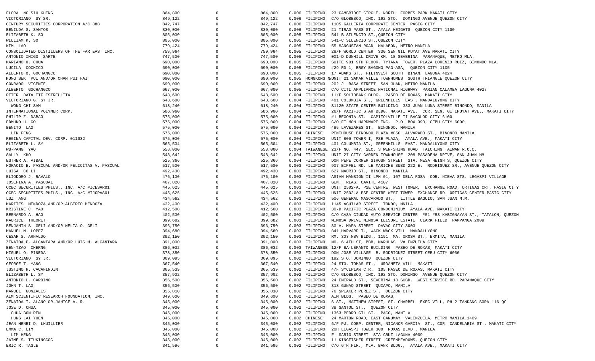| FLORA NG SIU KHENG                             | 864,800 | $\Omega$       | 864,800 |                | 0.006 FILIPINO 23 CAMBRIDGE CIRCLE, NORTH FORBES PARK MAKATI CITY                          |
|------------------------------------------------|---------|----------------|---------|----------------|--------------------------------------------------------------------------------------------|
| VICTORIANO SY SR.                              | 849,122 | $\Omega$       | 849,122 |                | 0.006 FILIPINO C/O GLOBESCO, INC. 192 STO. DOMINGO AVENUE QUEZON CITY                      |
| CENTURY SECURITIES CORPORATION A/C 888         | 842,747 | $\Omega$       | 842,747 |                | 0.006 FILIPINO 1105 GALLERIA CORPORATE CENTER PASIG CITY                                   |
| BENILDA S. SANTOS                              | 830,000 | - 0            | 830,000 |                | 0.006 FILIPINO 21 TIRAD PASS ST., AYALA HEIGHTS QUEZON CITY 1100                           |
| ELIZABETH K. SO                                | 805,000 |                | 805,000 |                | 0.005 FILIPINO 541-B SILENCIO ST., QUEZON CITY                                             |
| WILLIAM K. SO                                  | 805,000 | $\Omega$       | 805,000 |                | 0.005 FILIPINO 541-C SILENCIO ST., QUEZON CITY                                             |
| KIM LAO                                        | 779,424 |                | 779,424 |                | 0.005 FILIPINO 55 MANGUSTAN ROAD MALABON, METRO MANILA                                     |
| CONSOLIDATED DISTILLERS OF THE FAR EAST INC.   | 759,964 |                | 759,964 |                | 0.005 FILIPINO 28/F WORLD CENTER 330 SEN GIL PUYAT AVE MAKATI CITY                         |
| ANTONIO INIGO SARTE                            | 747,500 | $\overline{0}$ | 747,500 |                | 0.005 FILIPINO 001-D DUNHILL DRIVE KM. 18 SEVERINA PARANAQUE, METRO MLA.                   |
| MARIANO O. CHUA                                | 690,000 | $\circ$        | 690,000 |                |                                                                                            |
|                                                |         | $\overline{0}$ |         |                | 0.005 FILIPINO SUITE 901 9TH FLOOR, TYTANA TOWER, PLAZA LORENZO RUIZ, BINONDO MLA.         |
| LUCILA COCHICO                                 | 690,000 |                | 690,000 |                | 0.005 FILIPINO #29 RD 1, BRGY BAGONG PAG-ASA, QUEZON CITY 1105                             |
| ALBERTO O. GOCHANGCO                           | 690,000 |                | 690,000 |                | 0.005 FILIPINO 17 ADAMS ST., FILINVEST SOUTH BINAN, LAGUNA 4024                            |
| HUNG SEK PUI AND/OR CHAN PUI FAI               | 690,000 |                | 690,000 |                | 0.005 HONGKONG N.UNIT 21 SAMAR VILLE TOWNHOMES SOUTH TRIANGLE QUEZON CITY                  |
| CONRADO VICENTE                                | 690,000 |                | 690,000 |                | 0.005 FILIPINO 202 J. BASA STREET SAN JUAN, METRO MANILA                                   |
| ALBERTO GOCHANGCO                              | 667,000 |                | 667,000 |                | 0.005 FILIPINO C/O CITI APPLIANCE NATIONAL HIGHWAY PARIAN CALAMBA LAGUNA 4027              |
| PETER DATA ITF ESTRELLITA                      | 648,600 | $\Omega$       | 648,600 |                | 0.004 FILIPINO 11/F SOLIDBANK BLDG. PASEO DE ROXAS, MAKATI CITY                            |
| VICTORIANO G. SY JR.                           | 648,600 | - 0            | 648,600 |                | 0.004 FILIPINO 401 COLUMBIA ST., GREENHILLS EAST, MANDALUYONG CITY                         |
| WONG CHI SAM                                   | 618,240 |                | 618,240 |                | 0.004 FILIPINO S1120 STATE CENTER BUILDING 333 JUAN LUNA STREET BINONDO, MANILA            |
| INTERNATIONAL POLYMER CORP.                    | 586,960 | $\Omega$       | 586,960 | 0.004 FILIPINO | 26/F PACIFIC STAR BLDG.,MAKATI AVE. COR. SEN. GI LPUYAT AVE., MAKATI CITY                  |
| PHILIP Z. DABAO                                | 575,000 |                | 575,000 | 0.004 FILIPINO | #1 BEGONIA ST. CAPITOLVILLE II BACOLOD CITY 6100                                           |
| EDMUND H. GO                                   | 575,000 | $\Omega$       | 575,000 |                | 0.004 FILIPINO C/O FILMON HARDWARE INC. P.O. BOX 390, CEBU CITY 6000                       |
| BENITO LAO                                     | 575,000 | $\overline{0}$ | 575,000 |                | 0.004 FILIPINO 485 LAVEZARES ST. BINONDO, MANILA                                           |
| LIN FENG                                       | 575,000 | $\Omega$       | 575,000 | 0.004 CHINESE  | PENTHOUSE BINONDO PLAZA #850 ALVARADO ST., BINONDO MANILA                                  |
| REGINA CAPITAL DEV. CORP. 011032               | 575,000 | $\Omega$       | 575,000 | 0.004 FILIPINO | UNIT 806 TOWER I, PSE PLAZA, AYALA AVE., MAKATI CITY                                       |
| ELIZABETH L. SY                                | 565,504 | $\Omega$       | 565,504 |                | 0.004 FILIPINO 401 COLUMBIA ST., GREENHILLS EAST, MANDALUYONG CITY                         |
| WU-PANG YAO                                    | 558,000 |                | 558,000 |                | 0.004 TAIWANESE 23/F NO. 447, SEC. 3 WEN-SHING ROAD TAICHING TAIWAN R.O.C.                 |
| SALLY KHO                                      | 548,642 | $\Omega$       | 548,642 |                | 0.004 FILIPINO UNIT 27 CITY GARDEN TOWNHOUSE 208 PASADENA DRIVE, SAN JUAN MM               |
| ESTHER A. VIBAL                                | 525,366 | - 0            | 525,366 |                | 0.004 FILIPINO DON PEPE CORNER SIROUN STREET STA. MESA HEIGHTS, QUEZON CITY                |
| HORACIO E. PASCUAL AND/OR FELICITAS V. PASCUAL | 517,500 | - 0            | 517,500 |                | 0.003 FILIPINO 907 EIFFEL RD. LE MARICHE SUBD 222 E. RODRIGUEZ SR., AVENUE QUEZON CITY     |
|                                                |         | $\Omega$       |         |                |                                                                                            |
| LUISA CO LI                                    | 492,430 | $\Omega$       | 492,430 |                | 0.003 FILIPINO 627 MADRID ST., BINONDO MANILA                                              |
| ELIODORO J. RAVALO                             | 476,100 |                | 476,100 |                | 0.003 FILIPINO ASIAN MANSION II LPH 01, 107 DELA ROSA COR. NIEVA STS. LEGASPI VILLAGE      |
| JOSEFINA A. PASCUAL                            | 467,820 |                | 467,820 |                | 0.003 FILIPINO GEN. TRIAS, CAVITE 4107                                                     |
| OCBC SECURITIES PHILS., INC. A/C #ICESAR01     | 445,625 | $\circ$        | 445,625 |                | 0.003 FILIPINO UNIT 2502-A, PSE CENTRE, WEST TOWER, EXCHANGE ROAD, ORTIGAS CRT, PASIG CITY |
| OCBC SECURITIES PHILS., INC. A/C #IJOPAS01     | 445,625 | $\Omega$       | 445,625 |                | 0.003 FILIPINO UNIT 2502-A PSE CENTRE WEST TOWER EXCHANGE RD. ORTIGAS CENTER PASIG CITY    |
| LUZ ANG                                        | 434,562 | $\overline{0}$ | 434,562 |                | 0.003 FILIPINO 506 GENERAL MASCARADO ST., LITTLE BAGUIO, SAN JUAN M.M.                     |
| MARITES MENDOZA AND/OR ALBERTO MENDOZA         | 432,400 | $\Omega$       | 432,400 |                | 0.003 FILIPINO 1145 AGUILAR STREET TONDO, MNILA                                            |
| KRISTINE C. YAO                                | 412,500 | $\Omega$       | 412,500 |                | 0.003 FILIPINO 30-D PACIFIC PLAZA CONDOMINIUM AYALA AVE. MAKATI CITY                       |
| BERNARDO A. HAO                                | 402,500 |                | 402,500 |                | 0.003 FILIPINO C/O CASA CIUDAD AUTO SERVICE CENTER #51 #53 KABIGNAYAN ST., TATALON, QUEZON |
| MAURICE THEORET                                | 399,682 |                | 399,682 |                | 0.003 FILIPINO MIMOSA DRIVE MIMOSA LEISURE ESTATE CLARK FIELD PAMPANGA 2009                |
| BENJAMIN S. GELI AND/OR NELIA O. GELI          | 396,750 |                | 396,750 |                | 0.003 FILIPINO 80 V. MAPA STREET DAVAO CITY 8000                                           |
| MANUEL M. LOPEZ                                | 394,680 | $\Omega$       | 394,680 |                | 0.003 FILIPINO 841 HARVARD T., WACK WACK VILL MANDALUYONG                                  |
| CESAR S. ARNALDO                               | 392,150 | $\Omega$       | 392,150 |                | 0.003 FILIPINO RM. 303 NBV BLDG., 1191 MA. OROSA ST., ERMITA, MANILA                       |
| ZENAIDA P. ALCANTARA AND/OR LUIS M. ALCANTARA  | 391,000 | $\Omega$       | 391,000 |                | 0.003 FILIPINO NO. 6 4TH ST, BBB, MARULAS VALENZUELA CITY                                  |
| BEN-TZAO CHERNG                                | 386,032 |                | 386,032 |                | 0.003 TAIWANESE 12/F BA-LEPANTO BUILDING PASEO DE ROXAS, MAKATI CITY                       |
| MIGUEL O. PINEDA                               | 378,350 |                | 378,350 |                | 0.003 FILIPINO DON JOSE VILLAGE B. RODRIGUEZ STREET CEBU CITY 6000                         |
| VICTORIANO SY JR.                              | 369,095 |                | 369,095 |                | 0.002 FILIPINO 192 STO. DOMINGO QUEZON CITY                                                |
| GEORGE T. YANG                                 | 367,540 | 0              | 367,540 |                | 0.002 FILIPINO 24 STO. TOMAS ST., URDANETA VILL. MAKATI                                    |
| JUSTINO H. CACANINDIN                          | 365,539 | $\overline{0}$ | 365,539 |                | 0.002 FILIPINO 4/F SYCIPLAW CTR. 105 PASEO DE ROXAS, MAKATI CITY                           |
| ELIZABETH L. SY                                |         |                | 357,902 |                |                                                                                            |
|                                                | 357,902 |                |         |                | 0.002 FILIPINO C/O GLOBESCO, INC. 192 STO. DOMINGO AVENUE QUEZON CITY                      |
| ANTONIO L. CARDINO                             | 356,500 | 0              | 356,500 |                | 0.002 FILIPINO 24 EMERALD ST., SEVERINA 18 SUBD. WEST SERVICE RD. PARANAQUE CITY           |
| JOHN T. LAO                                    | 356,500 |                | 356,500 |                | 0.002 FILIPINO 318 GUNAO STREET QUIAPO, MANILA                                             |
| MANUEL GONZALES                                | 355,810 | 0              | 355,810 |                | 0.002 FILIPINO 76 SPEAKER PEREZ ST. QUEZON CITY                                            |
| AIM SCIENTIFIC RESEARCH FOUNDATION, INC.       | 349,600 | 0              | 349,600 |                | 0.002 FILIPINO AIM BLDG. PASEO DE ROXAS,                                                   |
| ZENAIDA I. ALANO OR JANICE A. R.               | 345,000 | 0              | 345,000 |                | 0.002 FILIPINO 6 ST., MATTHEW STREET, ST. CHARBEL EXEC VILL, PH 2 TANDANG SORA 116 QC      |
| JOSE D. CHUA                                   | 345,000 |                | 345,000 |                | 0.002 FILIPINO 38 SANTOL ST., QUEZON CITY                                                  |
| CHUA BON PEN                                   | 345,000 |                | 345,000 |                | 0.002 FILIPINO 1363 PEDRO GIL ST. PACO, MANILA                                             |
| HUNG LAI YUEN                                  | 345,000 |                | 345,000 | 0.002 CHINESE  | 24 MARTON ROAD, EAST CANUMAY VALENZUELA, METRO MANILA 1469                                 |
| JEAN HENRI D. LHUILLIER                        | 345,000 | 0              | 345,000 |                | 0.002 FILIPINO 6/F PJL CORP. CENTER, NICANOR GARCIA ST., COR. CANDELARIA ST., MAKATI CITY  |
| EMMA C. LIM                                    | 345,000 | 0              | 345,000 |                | 0.002 FILIPINO 20H LEGASPI TOWER 300 ROXAS BLVD., MANILA                                   |
| LIM HENG                                       | 345,000 | 0              | 345,000 |                | 0.002 FILIPINO F. SARIO STREET STA CRUZ LAGUNA 4009                                        |
| JAIME S. TIUKINGCOC                            | 345,000 |                | 345,000 |                | 0.002 FILIPINO 11 KINGFISHER STREET GREENMEADOWS, QUEZON CITY                              |
| ERIC R. TAGLE                                  | 341,596 | 0              | 341,596 |                | 0.002 FILIPINO C/O 6TH FLR., MLA. BANK BLDG., AYALA AVE., MAKATI CITY                      |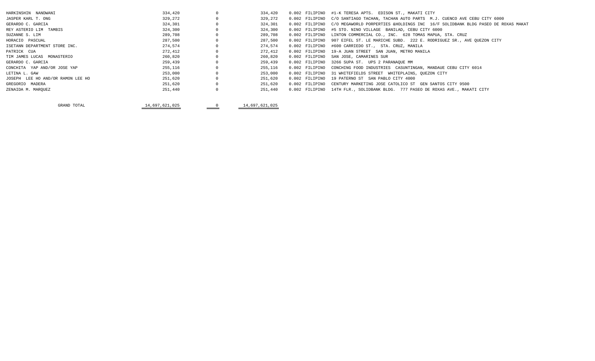| HARKINSHIN NANDWANI               | 334,420        | $^{\circ}$ | 334,420        | 0.002 FILIPINO   | #1-K TERESA APTS.<br>EDISON ST., MAKATI CITY                                    |
|-----------------------------------|----------------|------------|----------------|------------------|---------------------------------------------------------------------------------|
| JASPER KARL T. ONG                | 329,272        |            | 329,272        | 0.002 FILIPINO   | C/O SANTIAGO TACHAN, TACHAN AUTO PARTS M.J. CUENCO AVE CEBU CITY 6000           |
| GERARDO C. GARCIA                 | 324,301        |            | 324,301        | 0.002 FILIPINO   | C/O MEGAWORLD PORPERTIES &HOLDINGS INC 16/F SOLIDBANK BLDG PASEO DE ROXAS MAKAT |
| REY ASTERIO LIM TAMBIS            | 324,300        | $\Omega$   | 324,300        | $0.002$ FILIPINO | #5 STO. NINO VILLAGE BANILAD, CEBU CITY 6000                                    |
| SUZANNE S. LIM                    | 289,708        |            | 289,708        | 0.002 FILIPINO   | LINTON COMMERCIAL CO., INC. 628 TOMAS MAPUA, STA. CRUZ                          |
| HORACIO PASCUAL                   | 287,500        |            | 287,500        | 0.002 FILIPINO   | 907 EIFEL ST. LE MARICHE SUBD. 222 E. RODRIGUEZ SR., AVE QUEZON CITY            |
| ISETANN DEPARTMENT STORE INC.     | 274,574        |            | 274,574        | $0.002$ FILIPINO | #600 CARRIEDO ST., STA. CRUZ, MANILA                                            |
| PATRICK CUA                       | 272,412        |            | 272,412        | $0.002$ FILIPINO | 19-A JUAN STREET SAN JUAN, METRO MANILA                                         |
| TIM JAMES LUCAS MONASTERIO        | 260,820        |            | 260,820        | $0.002$ FILIPINO | SAN JOSE, CAMARINES SUR                                                         |
| GERARDO C. GARCIA                 | 259,439        |            | 259,439        | $0.002$ FILIPINO | 3266 SUPA ST. UPS 2 PARANAQUE MM                                                |
| CONCHITA YAP AND/OR JOSE YAP      | 255,116        |            | 255,116        | 0.002 FILIPINO   | CONCHING FOOD INDUSTRIES CASUNTINGAN, MANDAUE CEBU CITY 6014                    |
| LETINA L. GAW                     | 253,000        |            | 253,000        | $0.002$ FILIPINO | 31 WHITEFIELDS STREET WHITEPLAINS, OUEZON CITY                                  |
| JOSEPH LEE HO AND/OR RAMON LEE HO | 251,620        |            | 251,620        | 0.002 FILIPINO   | 19 PATERNO ST SAN PABLO CITY 4000                                               |
| GREGORIO MADERA                   | 251,620        |            | 251,620        | 0.002 FILIPINO   | CENTURY MARKETING JOSE CATOLICO ST GEN SANTOS CITY 9500                         |
| ZENAIDA M. MAROUEZ                | 251,440        |            | 251,440        | $0.002$ FILIPINO | 14TH FLR., SOLIDBANK BLDG. 777 PASEO DE ROXAS AVE., MAKATI CITY                 |
|                                   |                |            |                |                  |                                                                                 |
| GRAND TOTAL                       | 14,697,621,025 |            | 14,697,621,025 |                  |                                                                                 |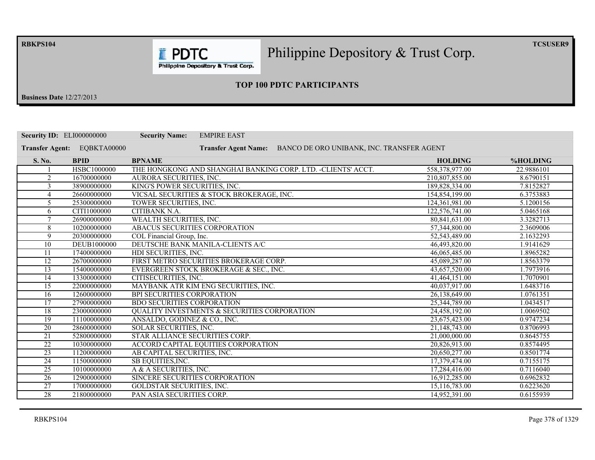**RBKPS104** 

Philippine Depository & Trust Corp.

 $TCSUSER9$ 

Philippine Depository & Trust Corp.

**E** PDTC

## **23 TOP 100 PDTC PARTICIPANTS**

**Business Date** 12/27/2013

| <b>Security ID: ELI000000000</b> |                    | <b>EMPIRE EAST</b><br><b>Security Name:</b>                   |                                           |            |
|----------------------------------|--------------------|---------------------------------------------------------------|-------------------------------------------|------------|
| <b>Transfer Agent:</b>           | EQBKTA00000        | <b>Transfer Agent Name:</b>                                   | BANCO DE ORO UNIBANK, INC. TRANSFER AGENT |            |
| S. No.                           | <b>BPID</b>        | <b>BPNAME</b>                                                 | <b>HOLDING</b>                            | %HOLDING   |
|                                  | HSBC1000000        | THE HONGKONG AND SHANGHAI BANKING CORP. LTD. - CLIENTS' ACCT. | 558, 378, 977.00                          | 22.9886101 |
| $\overline{2}$                   | 16700000000        | AURORA SECURITIES, INC.                                       | 210,807,855.00                            | 8.6790151  |
| 3                                | 38900000000        | KING'S POWER SECURITIES, INC.                                 | 189.828.334.00                            | 7.8152827  |
| 4                                | 26600000000        | VICSAL SECURITIES & STOCK BROKERAGE, INC.                     | 154,854,199.00                            | 6.3753883  |
| 5                                | 25300000000        | TOWER SECURITIES, INC.                                        | 124,361,981.00                            | 5.1200156  |
| 6                                | CITI1000000        | CITIBANK N.A.                                                 | 122,576,741.00                            | 5.0465168  |
| $\tau$                           | 26900000000        | WEALTH SECURITIES, INC.                                       | 80,841,631.00                             | 3.3282713  |
| 8                                | 10200000000        | ABACUS SECURITIES CORPORATION                                 | 57,344,800.00                             | 2.3609006  |
| 9                                | 20300000000        | COL Financial Group, Inc.                                     | 52,543,489.00                             | 2.1632293  |
| 10                               | <b>DEUB1000000</b> | DEUTSCHE BANK MANILA-CLIENTS A/C                              | 46,493,820.00                             | 1.9141629  |
| 11                               | 17400000000        | HDI SECURITIES, INC.                                          | 46,065,485.00                             | 1.8965282  |
| $\overline{12}$                  | 26700000000        | FIRST METRO SECURITIES BROKERAGE CORP.                        | 45,089,287.00                             | 1.8563379  |
| 13                               | 15400000000        | EVERGREEN STOCK BROKERAGE & SEC., INC.                        | 43,657,520.00                             | 1.7973916  |
| 14                               | 13300000000        | CITISECURITIES, INC.                                          | 41,464,151.00                             | 1.7070901  |
| $\overline{15}$                  | 22000000000        | MAYBANK ATR KIM ENG SECURITIES, INC.                          | 40,037,917.00                             | 1.6483716  |
| $\overline{16}$                  | 12600000000        | BPI SECURITIES CORPORATION                                    | 26,138,649.00                             | 1.0761351  |
| 17                               | 27900000000        | <b>BDO SECURITIES CORPORATION</b>                             | 25,344,789.00                             | 1.0434517  |
| 18                               | 23000000000        | <b>OUALITY INVESTMENTS &amp; SECURITIES CORPORATION</b>       | 24,458,192.00                             | 1.0069502  |
| 19                               | 11100000000        | ANSALDO, GODINEZ & CO., INC.                                  | 23,675,423.00                             | 0.9747234  |
| 20                               | 28600000000        | SOLAR SECURITIES, INC.                                        | 21.148.743.00                             | 0.8706993  |
| 21                               | 52800000000        | STAR ALLIANCE SECURITIES CORP.                                | 21,000,000.00                             | 0.8645755  |
| $\overline{22}$                  | 10300000000        | ACCORD CAPITAL EQUITIES CORPORATION                           | 20,826,913.00                             | 0.8574495  |
| $\overline{23}$                  | 11200000000        | AB CAPITAL SECURITIES, INC.                                   | 20,650,277.00                             | 0.8501774  |
| 24                               | 11500000000        | SB EQUITIES, INC.                                             | 17,379,474.00                             | 0.7155175  |
| $\overline{25}$                  | 10100000000        | A & A SECURITIES, INC.                                        | 17,284,416.00                             | 0.7116040  |
| 26                               | 12900000000        | SINCERE SECURITIES CORPORATION                                | 16,912,285.00                             | 0.6962832  |
| $\overline{27}$                  | 17000000000        | <b>GOLDSTAR SECURITIES, INC.</b>                              | 15,116,783.00                             | 0.6223620  |
| $\overline{28}$                  | 21800000000        | PAN ASIA SECURITIES CORP.                                     | 14.952.391.00                             | 0.6155939  |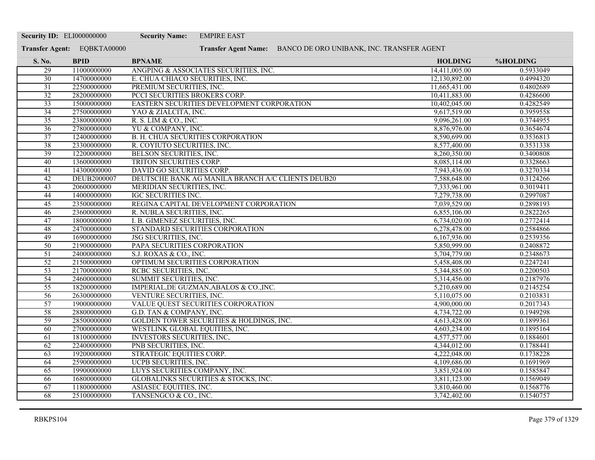| <b>Security ID: ELI000000000</b> |                             | <b>Security Name:</b><br><b>EMPIRE EAST</b>                    |                |                 |
|----------------------------------|-----------------------------|----------------------------------------------------------------|----------------|-----------------|
|                                  | Transfer Agent: EQBKTA00000 | Transfer Agent Name: BANCO DE ORO UNIBANK, INC. TRANSFER AGENT |                |                 |
| S. No.                           | <b>BPID</b>                 | <b>BPNAME</b>                                                  | <b>HOLDING</b> | <b>%HOLDING</b> |
| 29                               | 11000000000                 | ANGPING & ASSOCIATES SECURITIES, INC.                          | 14,411,005.00  | 0.5933049       |
| $\overline{30}$                  | 14700000000                 | E. CHUA CHIACO SECURITIES, INC.                                | 12,130,892.00  | 0.4994320       |
| $\overline{31}$                  | 22500000000                 | PREMIUM SECURITIES, INC.                                       | 11,665,431.00  | 0.4802689       |
| $\overline{32}$                  | 28200000000                 | PCCI SECURITIES BROKERS CORP.                                  | 10,411,883.00  | 0.4286600       |
| $\overline{33}$                  | 15000000000                 | EASTERN SECURITIES DEVELOPMENT CORPORATION                     | 10,402,045.00  | 0.4282549       |
| $\overline{34}$                  | 27500000000                 | YAO & ZIALCITA, INC.                                           | 9,617,519.00   | 0.3959558       |
| 35                               | 23800000000                 | R. S. LIM & CO., INC.                                          | 9,096,261.00   | 0.3744955       |
| $\overline{36}$                  | 27800000000                 | YU & COMPANY, INC.                                             | 8,876,976.00   | 0.3654674       |
| $\overline{37}$                  | 12400000000                 | B. H. CHUA SECURITIES CORPORATION                              | 8,590,699.00   | 0.3536813       |
| 38                               | 23300000000                 | R. COYIUTO SECURITIES, INC.                                    | 8,577,400.00   | 0.3531338       |
| 39                               | 12200000000                 | BELSON SECURITIES, INC.                                        | 8,260,350.00   | 0.3400808       |
| 40                               | 13600000000                 | TRITON SECURITIES CORP.                                        | 8,085,114.00   | 0.3328663       |
| $\overline{41}$                  | 14300000000                 | DAVID GO SECURITIES CORP.                                      | 7,943,436.00   | 0.3270334       |
| 42                               | DEUB2000007                 | DEUTSCHE BANK AG MANILA BRANCH A/C CLIENTS DEUB20              | 7,588,648.00   | 0.3124266       |
| 43                               | 20600000000                 | MERIDIAN SECURITIES, INC.                                      | 7,333,961.00   | 0.3019411       |
| 44                               | 14000000000                 | <b>IGC SECURITIES INC.</b>                                     | 7,279,738.00   | 0.2997087       |
| $\overline{45}$                  | 23500000000                 | REGINA CAPITAL DEVELOPMENT CORPORATION                         | 7,039,529.00   | 0.2898193       |
| 46                               | 23600000000                 | R. NUBLA SECURITIES, INC.                                      | 6,855,106.00   | 0.2822265       |
| 47                               | 18000000000                 | I. B. GIMENEZ SECURITIES, INC.                                 | 6,734,020.00   | 0.2772414       |
| 48                               | 24700000000                 | STANDARD SECURITIES CORPORATION                                | 6,278,478.00   | 0.2584866       |
| 49                               | 16900000000                 | JSG SECURITIES, INC.                                           | 6,167,936.00   | 0.2539356       |
| 50                               | 21900000000                 | PAPA SECURITIES CORPORATION                                    | 5,850,999.00   | 0.2408872       |
| $\overline{51}$                  | 24000000000                 | S.J. ROXAS & CO., INC.                                         | 5,704,779.00   | 0.2348673       |
| $\overline{52}$                  | 21500000000                 | OPTIMUM SECURITIES CORPORATION                                 | 5,458,408.00   | 0.2247241       |
| $\overline{53}$                  | 21700000000                 | RCBC SECURITIES, INC.                                          | 5,344,885.00   | 0.2200503       |
| 54                               | 24600000000                 | SUMMIT SECURITIES, INC.                                        | 5,314,456.00   | 0.2187976       |
| $\overline{55}$                  | 18200000000                 | IMPERIAL, DE GUZMAN, ABALOS & CO., INC.                        | 5,210,689.00   | 0.2145254       |
| 56                               | 26300000000                 | VENTURE SECURITIES, INC.                                       | 5,110,075.00   | 0.2103831       |
| $\overline{57}$                  | 19000000000                 | VALUE QUEST SECURITIES CORPORATION                             | 4,900,000.00   | 0.2017343       |
| $\overline{58}$                  | 28800000000                 | G.D. TAN & COMPANY, INC.                                       | 4,734,722.00   | 0.1949298       |
| 59                               | 28500000000                 | GOLDEN TOWER SECURITIES & HOLDINGS, INC.                       | 4,613,428.00   | 0.1899361       |
| 60                               | 27000000000                 | WESTLINK GLOBAL EQUITIES, INC.                                 | 4,603,234.00   | 0.1895164       |
| 61                               | 18100000000                 | <b>INVESTORS SECURITIES, INC.</b>                              | 4,577,577.00   | 0.1884601       |
| 62                               | 22400000000                 | PNB SECURITIES, INC.                                           | 4,344,012.00   | 0.1788441       |
| 63                               | 19200000000                 | STRATEGIC EQUITIES CORP.                                       | 4,222,048.00   | 0.1738228       |
| 64                               | 25900000000                 | UCPB SECURITIES, INC.                                          | 4,109,686.00   | 0.1691969       |
| 65                               | 19900000000                 | LUYS SECURITIES COMPANY, INC.                                  | 3,851,924.00   | 0.1585847       |
| 66                               | 16800000000                 | GLOBALINKS SECURITIES & STOCKS, INC.                           | 3,811,123.00   | 0.1569049       |
| 67                               | 11800000000                 | ASIASEC EQUITIES, INC.                                         | 3,810,460.00   | 0.1568776       |
| 68                               | 25100000000                 | TANSENGCO & CO., INC.                                          | 3,742,402.00   | 0.1540757       |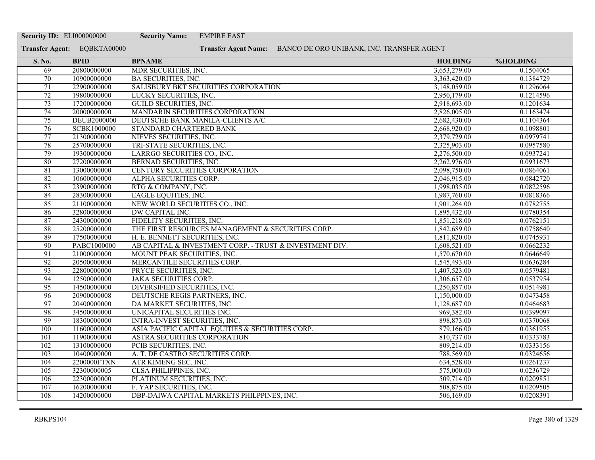| <b>Security ID: ELI000000000</b> |                             | <b>Security Name:</b><br><b>EMPIRE EAST</b>                    |                |                 |
|----------------------------------|-----------------------------|----------------------------------------------------------------|----------------|-----------------|
|                                  | Transfer Agent: EQBKTA00000 | Transfer Agent Name: BANCO DE ORO UNIBANK, INC. TRANSFER AGENT |                |                 |
| S. No.                           | <b>BPID</b>                 | <b>BPNAME</b>                                                  | <b>HOLDING</b> | <b>%HOLDING</b> |
| 69                               | 20800000000                 | MDR SECURITIES, INC.                                           | 3,653,279.00   | 0.1504065       |
| 70                               | 10900000000                 | <b>BA SECURITIES, INC.</b>                                     | 3,363,420.00   | 0.1384729       |
| 71                               | 22900000000                 | SALISBURY BKT SECURITIES CORPORATION                           | 3,148,059.00   | 0.1296064       |
| 72                               | 19800000000                 | LUCKY SECURITIES, INC.                                         | 2,950,179.00   | 0.1214596       |
| 73                               | 17200000000                 | <b>GUILD SECURITIES, INC.</b>                                  | 2,918,693.00   | 0.1201634       |
| $\overline{74}$                  | 20000000000                 | MANDARIN SECURITIES CORPORATION                                | 2,826,005.00   | 0.1163474       |
| 75                               | <b>DEUB2000000</b>          | DEUTSCHE BANK MANILA-CLIENTS A/C                               | 2,682,430.00   | 0.1104364       |
| 76                               | SCBK1000000                 | STANDARD CHARTERED BANK                                        | 2,668,920.00   | 0.1098801       |
| 77                               | 21300000000                 | NIEVES SECURITIES, INC.                                        | 2,379,729.00   | 0.0979741       |
| 78                               | 25700000000                 | TRI-STATE SECURITIES, INC.                                     | 2,325,903.00   | 0.0957580       |
| $\overline{79}$                  | 19300000000                 | LARRGO SECURITIES CO., INC.                                    | 2,276,500.00   | 0.0937241       |
| 80                               | 27200000000                 | BERNAD SECURITIES, INC.                                        | 2,262,976.00   | 0.0931673       |
| 81                               | 13000000000                 | CENTURY SECURITIES CORPORATION                                 | 2,098,750.00   | 0.0864061       |
| $\overline{82}$                  | 10600000000                 | ALPHA SECURITIES CORP.                                         | 2,046,915.00   | 0.0842720       |
| 83                               | 23900000000                 | RTG & COMPANY, INC.                                            | 1,998,035.00   | 0.0822596       |
| 84                               | 28300000000                 | <b>EAGLE EQUITIES, INC.</b>                                    | 1,987,760.00   | 0.0818366       |
| 85                               | 21100000000                 | NEW WORLD SECURITIES CO., INC.                                 | 1,901,264.00   | 0.0782755       |
| 86                               | 32800000000                 | <b>DW CAPITAL INC.</b>                                         | 1,895,432.00   | 0.0780354       |
| 87                               | 24300000000                 | FIDELITY SECURITIES, INC.                                      | 1,851,218.00   | 0.0762151       |
| 88                               | 25200000000                 | THE FIRST RESOURCES MANAGEMENT & SECURITIES CORP.              | 1,842,689.00   | 0.0758640       |
| 89                               | 17500000000                 | H. E. BENNETT SECURITIES, INC.                                 | 1,811,820.00   | 0.0745931       |
| 90                               | PABC1000000                 | AB CAPITAL & INVESTMENT CORP. - TRUST & INVESTMENT DIV.        | 1,608,521.00   | 0.0662232       |
| 91                               | 21000000000                 | MOUNT PEAK SECURITIES, INC.                                    | 1,570,670.00   | 0.0646649       |
| 92                               | 20500000000                 | MERCANTILE SECURITIES CORP.                                    | 1,545,493.00   | 0.0636284       |
| 93                               | 22800000000                 | PRYCE SECURITIES, INC.                                         | 1,407,523.00   | 0.0579481       |
| 94                               | 12500000000                 | <b>JAKA SECURITIES CORP.</b>                                   | 1,306,657.00   | 0.0537954       |
| $\overline{95}$                  | 14500000000                 | DIVERSIFIED SECURITIES, INC.                                   | 1,250,857.00   | 0.0514981       |
| 96                               | 20900000008                 | DEUTSCHE REGIS PARTNERS, INC.                                  | 1,150,000.00   | 0.0473458       |
| 97                               | 20400000000                 | DA MARKET SECURITIES, INC.                                     | 1,128,687.00   | 0.0464683       |
| 98                               | 34500000000                 | UNICAPITAL SECURITIES INC.                                     | 969,382.00     | 0.0399097       |
| 99                               | 18300000000                 | <b>INTRA-INVEST SECURITIES, INC.</b>                           | 898,873.00     | 0.0370068       |
| 100                              | 11600000000                 | ASIA PACIFIC CAPITAL EQUITIES & SECURITIES CORP.               | 879,166.00     | 0.0361955       |
| 101                              | 11900000000                 | ASTRA SECURITIES CORPORATION                                   | 810,737.00     | 0.0333783       |
| 102                              | 13100000000                 | PCIB SECURITIES, INC.                                          | 809,214.00     | 0.0333156       |
| 103                              | 10400000000                 | A. T. DE CASTRO SECURITIES CORP.                               | 788,569.00     | 0.0324656       |
| 104                              | 2200000FTXN                 | ATR KIMENG SEC. INC.                                           | 634,528.00     | 0.0261237       |
| 105                              | 32300000005                 | <b>CLSA PHILIPPINES, INC.</b>                                  | 575,000.00     | 0.0236729       |
| 106                              | 22300000000                 | PLATINUM SECURITIES, INC.                                      | 509,714.00     | 0.0209851       |
| 107                              | 16200000000                 | F. YAP SECURITIES, INC.                                        | 508,875.00     | 0.0209505       |
| 108                              | 14200000000                 | DBP-DAIWA CAPITAL MARKETS PHILPPINES, INC.                     | 506,169.00     | 0.0208391       |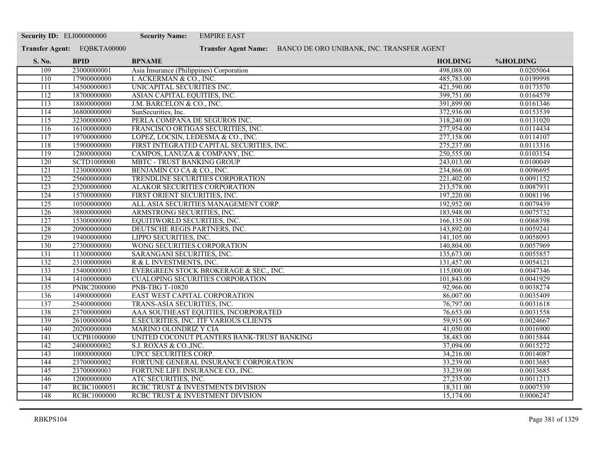| Transfer Agent: EQBKTA00000<br>Transfer Agent Name: BANCO DE ORO UNIBANK, INC. TRANSFER AGENT<br>S. No.<br><b>BPID</b><br><b>BPNAME</b><br><b>HOLDING</b><br>%HOLDING<br>$\overline{109}$<br>23000000001<br>Asia Insurance (Philippines) Corporation<br>498,088.00<br>0.0205064<br>I. ACKERMAN & CO., INC.<br>110<br>17900000000<br>485,783.00<br>0.0199998<br>34500000003<br>UNICAPITAL SECURITIES INC.<br>0.0173570<br>$\overline{111}$<br>421,590.00<br>18700000000<br>ASIAN CAPITAL EQUITIES, INC.<br>399,751.00<br>0.0164579<br>112<br>113<br>18800000000<br>J.M. BARCELON & CO., INC.<br>391,899.00<br>0.0161346<br>36800000000<br>SunSecurities, Inc.<br>372,936.00<br>0.0153539<br>114<br>PERLA COMPAÑA DE SEGUROS INC.<br>115<br>32300000003<br>318,240.00<br>0.0131020<br>116<br>16100000000<br>FRANCISCO ORTIGAS SECURITIES, INC.<br>277,954.00<br>0.0114434<br>117<br>19700000000<br>LOPEZ, LOCSIN, LEDESMA & CO., INC.<br>277,158.00<br>0.0114107<br>275,237.00<br>118<br>15900000000<br>FIRST INTEGRATED CAPITAL SECURITIES, INC.<br>0.0113316<br>119<br>0.0103154<br>12800000000<br>CAMPOS, LANUZA & COMPANY, INC.<br>250,555.00<br>SCTD1000000<br>0.0100049<br>120<br><b>MBTC - TRUST BANKING GROUP</b><br>243,013.00<br>121<br>12300000000<br>234,866.00<br>0.0096695<br>BENJAMIN CO CA & CO., INC.<br>$\overline{122}$<br>25600000000<br>0.0091152<br>TRENDLINE SECURITIES CORPORATION<br>221,402.00<br>23200000000<br>$\overline{123}$<br>ALAKOR SECURITIES CORPORATION<br>213,578.00<br>0.0087931<br>124<br>15700000000<br>FIRST ORIENT SECURITIES, INC.<br>197,220.00<br>0.0081196<br>125<br>10500000000<br>192,952.00<br>0.0079439<br>ALL ASIA SECURITIES MANAGEMENT CORP.<br>0.0075732<br>38800000000<br>ARMSTRONG SECURITIES, INC.<br>183,948.00<br>$\overline{126}$<br>127<br>15300000000<br>0.0068398<br>EQUITIWORLD SECURITIES, INC.<br>166,135.00<br>128<br>20900000000<br>DEUTSCHE REGIS PARTNERS, INC.<br>143,892.00<br>0.0059241<br>19400000000<br>LIPPO SECURITIES, INC.<br>0.0058093<br>129<br>141,105.00<br>130<br>27300000000<br>WONG SECURITIES CORPORATION<br>0.0057969<br>140,804.00<br>11300000000<br>131<br>SARANGANI SECURITIES, INC.<br>135,673.00<br>0.0055857<br>23100000000<br>R & L INVESTMENTS, INC.<br>131,457.00<br>0.0054121<br>132<br>133<br>15400000003<br>EVERGREEN STOCK BROKERAGE & SEC., INC.<br>115,000.00<br>0.0047346<br>134<br>14100000000<br>101,843.00<br>0.0041929<br><b>CUALOPING SECURITIES CORPORATION</b><br><b>PNBC2000000</b><br>0.0038274<br>135<br><b>PNB-TBG T-10820</b><br>92,966.00<br>EAST WEST CAPITAL CORPORATION<br>136<br>14900000000<br>86,007.00<br>0.0035409<br>137<br>25400000000<br>TRANS-ASIA SECURITIES, INC.<br>76,797.00<br>0.0031618<br>23700000000<br>AAA SOUTHEAST EQUITIES, INCORPORATED<br>138<br>76,653.00<br>0.0031558<br>139<br>26100000004<br>E.SECURITIES, INC. ITF VARIOUS CLIENTS<br>59,915.00<br>0.0024667<br>140<br>20200000000<br>0.0016900<br><b>MARINO OLONDRIZ Y CIA</b><br>41,050.00<br>141<br><b>UCPB1000000</b><br>UNITED COCONUT PLANTERS BANK-TRUST BANKING<br>38,483.00<br>0.0015844<br>142<br>24000000002<br>S.J. ROXAS & CO., INC.<br>37,094.00<br>0.0015272<br>143<br>10000000000<br><b>UPCC SECURITIES CORP.</b><br>34,216.00<br>0.0014087<br>144<br>23700000002<br>FORTUNE GENERAL INSURANCE CORPORATION<br>33,239.00<br>0.0013685<br>23700000003<br>33,239.00<br>$\overline{145}$<br>FORTUNE LIFE INSURANCE CO., INC.<br>0.0013685<br>146<br>12000000000<br>ATC SECURITIES, INC.<br>27,235.00<br>0.0011213<br>RCBC1000051<br>RCBC TRUST & INVESTMENTS DIVISION<br>147<br>18,311.00<br>0.0007539<br><b>RCBC1000000</b><br>148<br>RCBC TRUST & INVESTMENT DIVISION<br>15,174.00<br>0.0006247 | <b>Security ID: ELI000000000</b> | <b>Security Name:</b> | <b>EMPIRE EAST</b> |  |
|------------------------------------------------------------------------------------------------------------------------------------------------------------------------------------------------------------------------------------------------------------------------------------------------------------------------------------------------------------------------------------------------------------------------------------------------------------------------------------------------------------------------------------------------------------------------------------------------------------------------------------------------------------------------------------------------------------------------------------------------------------------------------------------------------------------------------------------------------------------------------------------------------------------------------------------------------------------------------------------------------------------------------------------------------------------------------------------------------------------------------------------------------------------------------------------------------------------------------------------------------------------------------------------------------------------------------------------------------------------------------------------------------------------------------------------------------------------------------------------------------------------------------------------------------------------------------------------------------------------------------------------------------------------------------------------------------------------------------------------------------------------------------------------------------------------------------------------------------------------------------------------------------------------------------------------------------------------------------------------------------------------------------------------------------------------------------------------------------------------------------------------------------------------------------------------------------------------------------------------------------------------------------------------------------------------------------------------------------------------------------------------------------------------------------------------------------------------------------------------------------------------------------------------------------------------------------------------------------------------------------------------------------------------------------------------------------------------------------------------------------------------------------------------------------------------------------------------------------------------------------------------------------------------------------------------------------------------------------------------------------------------------------------------------------------------------------------------------------------------------------------------------------------------------------------------------------------------------------------------------------------------------------------------------------------------------------------------------------------------------------------------------------------------------------------------------------------------------------------------------------------------------------------------------------------------------------------------------------------------------------------------------------------------------------------------------------------------|----------------------------------|-----------------------|--------------------|--|
|                                                                                                                                                                                                                                                                                                                                                                                                                                                                                                                                                                                                                                                                                                                                                                                                                                                                                                                                                                                                                                                                                                                                                                                                                                                                                                                                                                                                                                                                                                                                                                                                                                                                                                                                                                                                                                                                                                                                                                                                                                                                                                                                                                                                                                                                                                                                                                                                                                                                                                                                                                                                                                                                                                                                                                                                                                                                                                                                                                                                                                                                                                                                                                                                                                                                                                                                                                                                                                                                                                                                                                                                                                                                                                                  |                                  |                       |                    |  |
|                                                                                                                                                                                                                                                                                                                                                                                                                                                                                                                                                                                                                                                                                                                                                                                                                                                                                                                                                                                                                                                                                                                                                                                                                                                                                                                                                                                                                                                                                                                                                                                                                                                                                                                                                                                                                                                                                                                                                                                                                                                                                                                                                                                                                                                                                                                                                                                                                                                                                                                                                                                                                                                                                                                                                                                                                                                                                                                                                                                                                                                                                                                                                                                                                                                                                                                                                                                                                                                                                                                                                                                                                                                                                                                  |                                  |                       |                    |  |
|                                                                                                                                                                                                                                                                                                                                                                                                                                                                                                                                                                                                                                                                                                                                                                                                                                                                                                                                                                                                                                                                                                                                                                                                                                                                                                                                                                                                                                                                                                                                                                                                                                                                                                                                                                                                                                                                                                                                                                                                                                                                                                                                                                                                                                                                                                                                                                                                                                                                                                                                                                                                                                                                                                                                                                                                                                                                                                                                                                                                                                                                                                                                                                                                                                                                                                                                                                                                                                                                                                                                                                                                                                                                                                                  |                                  |                       |                    |  |
|                                                                                                                                                                                                                                                                                                                                                                                                                                                                                                                                                                                                                                                                                                                                                                                                                                                                                                                                                                                                                                                                                                                                                                                                                                                                                                                                                                                                                                                                                                                                                                                                                                                                                                                                                                                                                                                                                                                                                                                                                                                                                                                                                                                                                                                                                                                                                                                                                                                                                                                                                                                                                                                                                                                                                                                                                                                                                                                                                                                                                                                                                                                                                                                                                                                                                                                                                                                                                                                                                                                                                                                                                                                                                                                  |                                  |                       |                    |  |
|                                                                                                                                                                                                                                                                                                                                                                                                                                                                                                                                                                                                                                                                                                                                                                                                                                                                                                                                                                                                                                                                                                                                                                                                                                                                                                                                                                                                                                                                                                                                                                                                                                                                                                                                                                                                                                                                                                                                                                                                                                                                                                                                                                                                                                                                                                                                                                                                                                                                                                                                                                                                                                                                                                                                                                                                                                                                                                                                                                                                                                                                                                                                                                                                                                                                                                                                                                                                                                                                                                                                                                                                                                                                                                                  |                                  |                       |                    |  |
|                                                                                                                                                                                                                                                                                                                                                                                                                                                                                                                                                                                                                                                                                                                                                                                                                                                                                                                                                                                                                                                                                                                                                                                                                                                                                                                                                                                                                                                                                                                                                                                                                                                                                                                                                                                                                                                                                                                                                                                                                                                                                                                                                                                                                                                                                                                                                                                                                                                                                                                                                                                                                                                                                                                                                                                                                                                                                                                                                                                                                                                                                                                                                                                                                                                                                                                                                                                                                                                                                                                                                                                                                                                                                                                  |                                  |                       |                    |  |
|                                                                                                                                                                                                                                                                                                                                                                                                                                                                                                                                                                                                                                                                                                                                                                                                                                                                                                                                                                                                                                                                                                                                                                                                                                                                                                                                                                                                                                                                                                                                                                                                                                                                                                                                                                                                                                                                                                                                                                                                                                                                                                                                                                                                                                                                                                                                                                                                                                                                                                                                                                                                                                                                                                                                                                                                                                                                                                                                                                                                                                                                                                                                                                                                                                                                                                                                                                                                                                                                                                                                                                                                                                                                                                                  |                                  |                       |                    |  |
|                                                                                                                                                                                                                                                                                                                                                                                                                                                                                                                                                                                                                                                                                                                                                                                                                                                                                                                                                                                                                                                                                                                                                                                                                                                                                                                                                                                                                                                                                                                                                                                                                                                                                                                                                                                                                                                                                                                                                                                                                                                                                                                                                                                                                                                                                                                                                                                                                                                                                                                                                                                                                                                                                                                                                                                                                                                                                                                                                                                                                                                                                                                                                                                                                                                                                                                                                                                                                                                                                                                                                                                                                                                                                                                  |                                  |                       |                    |  |
|                                                                                                                                                                                                                                                                                                                                                                                                                                                                                                                                                                                                                                                                                                                                                                                                                                                                                                                                                                                                                                                                                                                                                                                                                                                                                                                                                                                                                                                                                                                                                                                                                                                                                                                                                                                                                                                                                                                                                                                                                                                                                                                                                                                                                                                                                                                                                                                                                                                                                                                                                                                                                                                                                                                                                                                                                                                                                                                                                                                                                                                                                                                                                                                                                                                                                                                                                                                                                                                                                                                                                                                                                                                                                                                  |                                  |                       |                    |  |
|                                                                                                                                                                                                                                                                                                                                                                                                                                                                                                                                                                                                                                                                                                                                                                                                                                                                                                                                                                                                                                                                                                                                                                                                                                                                                                                                                                                                                                                                                                                                                                                                                                                                                                                                                                                                                                                                                                                                                                                                                                                                                                                                                                                                                                                                                                                                                                                                                                                                                                                                                                                                                                                                                                                                                                                                                                                                                                                                                                                                                                                                                                                                                                                                                                                                                                                                                                                                                                                                                                                                                                                                                                                                                                                  |                                  |                       |                    |  |
|                                                                                                                                                                                                                                                                                                                                                                                                                                                                                                                                                                                                                                                                                                                                                                                                                                                                                                                                                                                                                                                                                                                                                                                                                                                                                                                                                                                                                                                                                                                                                                                                                                                                                                                                                                                                                                                                                                                                                                                                                                                                                                                                                                                                                                                                                                                                                                                                                                                                                                                                                                                                                                                                                                                                                                                                                                                                                                                                                                                                                                                                                                                                                                                                                                                                                                                                                                                                                                                                                                                                                                                                                                                                                                                  |                                  |                       |                    |  |
|                                                                                                                                                                                                                                                                                                                                                                                                                                                                                                                                                                                                                                                                                                                                                                                                                                                                                                                                                                                                                                                                                                                                                                                                                                                                                                                                                                                                                                                                                                                                                                                                                                                                                                                                                                                                                                                                                                                                                                                                                                                                                                                                                                                                                                                                                                                                                                                                                                                                                                                                                                                                                                                                                                                                                                                                                                                                                                                                                                                                                                                                                                                                                                                                                                                                                                                                                                                                                                                                                                                                                                                                                                                                                                                  |                                  |                       |                    |  |
|                                                                                                                                                                                                                                                                                                                                                                                                                                                                                                                                                                                                                                                                                                                                                                                                                                                                                                                                                                                                                                                                                                                                                                                                                                                                                                                                                                                                                                                                                                                                                                                                                                                                                                                                                                                                                                                                                                                                                                                                                                                                                                                                                                                                                                                                                                                                                                                                                                                                                                                                                                                                                                                                                                                                                                                                                                                                                                                                                                                                                                                                                                                                                                                                                                                                                                                                                                                                                                                                                                                                                                                                                                                                                                                  |                                  |                       |                    |  |
|                                                                                                                                                                                                                                                                                                                                                                                                                                                                                                                                                                                                                                                                                                                                                                                                                                                                                                                                                                                                                                                                                                                                                                                                                                                                                                                                                                                                                                                                                                                                                                                                                                                                                                                                                                                                                                                                                                                                                                                                                                                                                                                                                                                                                                                                                                                                                                                                                                                                                                                                                                                                                                                                                                                                                                                                                                                                                                                                                                                                                                                                                                                                                                                                                                                                                                                                                                                                                                                                                                                                                                                                                                                                                                                  |                                  |                       |                    |  |
|                                                                                                                                                                                                                                                                                                                                                                                                                                                                                                                                                                                                                                                                                                                                                                                                                                                                                                                                                                                                                                                                                                                                                                                                                                                                                                                                                                                                                                                                                                                                                                                                                                                                                                                                                                                                                                                                                                                                                                                                                                                                                                                                                                                                                                                                                                                                                                                                                                                                                                                                                                                                                                                                                                                                                                                                                                                                                                                                                                                                                                                                                                                                                                                                                                                                                                                                                                                                                                                                                                                                                                                                                                                                                                                  |                                  |                       |                    |  |
|                                                                                                                                                                                                                                                                                                                                                                                                                                                                                                                                                                                                                                                                                                                                                                                                                                                                                                                                                                                                                                                                                                                                                                                                                                                                                                                                                                                                                                                                                                                                                                                                                                                                                                                                                                                                                                                                                                                                                                                                                                                                                                                                                                                                                                                                                                                                                                                                                                                                                                                                                                                                                                                                                                                                                                                                                                                                                                                                                                                                                                                                                                                                                                                                                                                                                                                                                                                                                                                                                                                                                                                                                                                                                                                  |                                  |                       |                    |  |
|                                                                                                                                                                                                                                                                                                                                                                                                                                                                                                                                                                                                                                                                                                                                                                                                                                                                                                                                                                                                                                                                                                                                                                                                                                                                                                                                                                                                                                                                                                                                                                                                                                                                                                                                                                                                                                                                                                                                                                                                                                                                                                                                                                                                                                                                                                                                                                                                                                                                                                                                                                                                                                                                                                                                                                                                                                                                                                                                                                                                                                                                                                                                                                                                                                                                                                                                                                                                                                                                                                                                                                                                                                                                                                                  |                                  |                       |                    |  |
|                                                                                                                                                                                                                                                                                                                                                                                                                                                                                                                                                                                                                                                                                                                                                                                                                                                                                                                                                                                                                                                                                                                                                                                                                                                                                                                                                                                                                                                                                                                                                                                                                                                                                                                                                                                                                                                                                                                                                                                                                                                                                                                                                                                                                                                                                                                                                                                                                                                                                                                                                                                                                                                                                                                                                                                                                                                                                                                                                                                                                                                                                                                                                                                                                                                                                                                                                                                                                                                                                                                                                                                                                                                                                                                  |                                  |                       |                    |  |
|                                                                                                                                                                                                                                                                                                                                                                                                                                                                                                                                                                                                                                                                                                                                                                                                                                                                                                                                                                                                                                                                                                                                                                                                                                                                                                                                                                                                                                                                                                                                                                                                                                                                                                                                                                                                                                                                                                                                                                                                                                                                                                                                                                                                                                                                                                                                                                                                                                                                                                                                                                                                                                                                                                                                                                                                                                                                                                                                                                                                                                                                                                                                                                                                                                                                                                                                                                                                                                                                                                                                                                                                                                                                                                                  |                                  |                       |                    |  |
|                                                                                                                                                                                                                                                                                                                                                                                                                                                                                                                                                                                                                                                                                                                                                                                                                                                                                                                                                                                                                                                                                                                                                                                                                                                                                                                                                                                                                                                                                                                                                                                                                                                                                                                                                                                                                                                                                                                                                                                                                                                                                                                                                                                                                                                                                                                                                                                                                                                                                                                                                                                                                                                                                                                                                                                                                                                                                                                                                                                                                                                                                                                                                                                                                                                                                                                                                                                                                                                                                                                                                                                                                                                                                                                  |                                  |                       |                    |  |
|                                                                                                                                                                                                                                                                                                                                                                                                                                                                                                                                                                                                                                                                                                                                                                                                                                                                                                                                                                                                                                                                                                                                                                                                                                                                                                                                                                                                                                                                                                                                                                                                                                                                                                                                                                                                                                                                                                                                                                                                                                                                                                                                                                                                                                                                                                                                                                                                                                                                                                                                                                                                                                                                                                                                                                                                                                                                                                                                                                                                                                                                                                                                                                                                                                                                                                                                                                                                                                                                                                                                                                                                                                                                                                                  |                                  |                       |                    |  |
|                                                                                                                                                                                                                                                                                                                                                                                                                                                                                                                                                                                                                                                                                                                                                                                                                                                                                                                                                                                                                                                                                                                                                                                                                                                                                                                                                                                                                                                                                                                                                                                                                                                                                                                                                                                                                                                                                                                                                                                                                                                                                                                                                                                                                                                                                                                                                                                                                                                                                                                                                                                                                                                                                                                                                                                                                                                                                                                                                                                                                                                                                                                                                                                                                                                                                                                                                                                                                                                                                                                                                                                                                                                                                                                  |                                  |                       |                    |  |
|                                                                                                                                                                                                                                                                                                                                                                                                                                                                                                                                                                                                                                                                                                                                                                                                                                                                                                                                                                                                                                                                                                                                                                                                                                                                                                                                                                                                                                                                                                                                                                                                                                                                                                                                                                                                                                                                                                                                                                                                                                                                                                                                                                                                                                                                                                                                                                                                                                                                                                                                                                                                                                                                                                                                                                                                                                                                                                                                                                                                                                                                                                                                                                                                                                                                                                                                                                                                                                                                                                                                                                                                                                                                                                                  |                                  |                       |                    |  |
|                                                                                                                                                                                                                                                                                                                                                                                                                                                                                                                                                                                                                                                                                                                                                                                                                                                                                                                                                                                                                                                                                                                                                                                                                                                                                                                                                                                                                                                                                                                                                                                                                                                                                                                                                                                                                                                                                                                                                                                                                                                                                                                                                                                                                                                                                                                                                                                                                                                                                                                                                                                                                                                                                                                                                                                                                                                                                                                                                                                                                                                                                                                                                                                                                                                                                                                                                                                                                                                                                                                                                                                                                                                                                                                  |                                  |                       |                    |  |
|                                                                                                                                                                                                                                                                                                                                                                                                                                                                                                                                                                                                                                                                                                                                                                                                                                                                                                                                                                                                                                                                                                                                                                                                                                                                                                                                                                                                                                                                                                                                                                                                                                                                                                                                                                                                                                                                                                                                                                                                                                                                                                                                                                                                                                                                                                                                                                                                                                                                                                                                                                                                                                                                                                                                                                                                                                                                                                                                                                                                                                                                                                                                                                                                                                                                                                                                                                                                                                                                                                                                                                                                                                                                                                                  |                                  |                       |                    |  |
|                                                                                                                                                                                                                                                                                                                                                                                                                                                                                                                                                                                                                                                                                                                                                                                                                                                                                                                                                                                                                                                                                                                                                                                                                                                                                                                                                                                                                                                                                                                                                                                                                                                                                                                                                                                                                                                                                                                                                                                                                                                                                                                                                                                                                                                                                                                                                                                                                                                                                                                                                                                                                                                                                                                                                                                                                                                                                                                                                                                                                                                                                                                                                                                                                                                                                                                                                                                                                                                                                                                                                                                                                                                                                                                  |                                  |                       |                    |  |
|                                                                                                                                                                                                                                                                                                                                                                                                                                                                                                                                                                                                                                                                                                                                                                                                                                                                                                                                                                                                                                                                                                                                                                                                                                                                                                                                                                                                                                                                                                                                                                                                                                                                                                                                                                                                                                                                                                                                                                                                                                                                                                                                                                                                                                                                                                                                                                                                                                                                                                                                                                                                                                                                                                                                                                                                                                                                                                                                                                                                                                                                                                                                                                                                                                                                                                                                                                                                                                                                                                                                                                                                                                                                                                                  |                                  |                       |                    |  |
|                                                                                                                                                                                                                                                                                                                                                                                                                                                                                                                                                                                                                                                                                                                                                                                                                                                                                                                                                                                                                                                                                                                                                                                                                                                                                                                                                                                                                                                                                                                                                                                                                                                                                                                                                                                                                                                                                                                                                                                                                                                                                                                                                                                                                                                                                                                                                                                                                                                                                                                                                                                                                                                                                                                                                                                                                                                                                                                                                                                                                                                                                                                                                                                                                                                                                                                                                                                                                                                                                                                                                                                                                                                                                                                  |                                  |                       |                    |  |
|                                                                                                                                                                                                                                                                                                                                                                                                                                                                                                                                                                                                                                                                                                                                                                                                                                                                                                                                                                                                                                                                                                                                                                                                                                                                                                                                                                                                                                                                                                                                                                                                                                                                                                                                                                                                                                                                                                                                                                                                                                                                                                                                                                                                                                                                                                                                                                                                                                                                                                                                                                                                                                                                                                                                                                                                                                                                                                                                                                                                                                                                                                                                                                                                                                                                                                                                                                                                                                                                                                                                                                                                                                                                                                                  |                                  |                       |                    |  |
|                                                                                                                                                                                                                                                                                                                                                                                                                                                                                                                                                                                                                                                                                                                                                                                                                                                                                                                                                                                                                                                                                                                                                                                                                                                                                                                                                                                                                                                                                                                                                                                                                                                                                                                                                                                                                                                                                                                                                                                                                                                                                                                                                                                                                                                                                                                                                                                                                                                                                                                                                                                                                                                                                                                                                                                                                                                                                                                                                                                                                                                                                                                                                                                                                                                                                                                                                                                                                                                                                                                                                                                                                                                                                                                  |                                  |                       |                    |  |
|                                                                                                                                                                                                                                                                                                                                                                                                                                                                                                                                                                                                                                                                                                                                                                                                                                                                                                                                                                                                                                                                                                                                                                                                                                                                                                                                                                                                                                                                                                                                                                                                                                                                                                                                                                                                                                                                                                                                                                                                                                                                                                                                                                                                                                                                                                                                                                                                                                                                                                                                                                                                                                                                                                                                                                                                                                                                                                                                                                                                                                                                                                                                                                                                                                                                                                                                                                                                                                                                                                                                                                                                                                                                                                                  |                                  |                       |                    |  |
|                                                                                                                                                                                                                                                                                                                                                                                                                                                                                                                                                                                                                                                                                                                                                                                                                                                                                                                                                                                                                                                                                                                                                                                                                                                                                                                                                                                                                                                                                                                                                                                                                                                                                                                                                                                                                                                                                                                                                                                                                                                                                                                                                                                                                                                                                                                                                                                                                                                                                                                                                                                                                                                                                                                                                                                                                                                                                                                                                                                                                                                                                                                                                                                                                                                                                                                                                                                                                                                                                                                                                                                                                                                                                                                  |                                  |                       |                    |  |
|                                                                                                                                                                                                                                                                                                                                                                                                                                                                                                                                                                                                                                                                                                                                                                                                                                                                                                                                                                                                                                                                                                                                                                                                                                                                                                                                                                                                                                                                                                                                                                                                                                                                                                                                                                                                                                                                                                                                                                                                                                                                                                                                                                                                                                                                                                                                                                                                                                                                                                                                                                                                                                                                                                                                                                                                                                                                                                                                                                                                                                                                                                                                                                                                                                                                                                                                                                                                                                                                                                                                                                                                                                                                                                                  |                                  |                       |                    |  |
|                                                                                                                                                                                                                                                                                                                                                                                                                                                                                                                                                                                                                                                                                                                                                                                                                                                                                                                                                                                                                                                                                                                                                                                                                                                                                                                                                                                                                                                                                                                                                                                                                                                                                                                                                                                                                                                                                                                                                                                                                                                                                                                                                                                                                                                                                                                                                                                                                                                                                                                                                                                                                                                                                                                                                                                                                                                                                                                                                                                                                                                                                                                                                                                                                                                                                                                                                                                                                                                                                                                                                                                                                                                                                                                  |                                  |                       |                    |  |
|                                                                                                                                                                                                                                                                                                                                                                                                                                                                                                                                                                                                                                                                                                                                                                                                                                                                                                                                                                                                                                                                                                                                                                                                                                                                                                                                                                                                                                                                                                                                                                                                                                                                                                                                                                                                                                                                                                                                                                                                                                                                                                                                                                                                                                                                                                                                                                                                                                                                                                                                                                                                                                                                                                                                                                                                                                                                                                                                                                                                                                                                                                                                                                                                                                                                                                                                                                                                                                                                                                                                                                                                                                                                                                                  |                                  |                       |                    |  |
|                                                                                                                                                                                                                                                                                                                                                                                                                                                                                                                                                                                                                                                                                                                                                                                                                                                                                                                                                                                                                                                                                                                                                                                                                                                                                                                                                                                                                                                                                                                                                                                                                                                                                                                                                                                                                                                                                                                                                                                                                                                                                                                                                                                                                                                                                                                                                                                                                                                                                                                                                                                                                                                                                                                                                                                                                                                                                                                                                                                                                                                                                                                                                                                                                                                                                                                                                                                                                                                                                                                                                                                                                                                                                                                  |                                  |                       |                    |  |
|                                                                                                                                                                                                                                                                                                                                                                                                                                                                                                                                                                                                                                                                                                                                                                                                                                                                                                                                                                                                                                                                                                                                                                                                                                                                                                                                                                                                                                                                                                                                                                                                                                                                                                                                                                                                                                                                                                                                                                                                                                                                                                                                                                                                                                                                                                                                                                                                                                                                                                                                                                                                                                                                                                                                                                                                                                                                                                                                                                                                                                                                                                                                                                                                                                                                                                                                                                                                                                                                                                                                                                                                                                                                                                                  |                                  |                       |                    |  |
|                                                                                                                                                                                                                                                                                                                                                                                                                                                                                                                                                                                                                                                                                                                                                                                                                                                                                                                                                                                                                                                                                                                                                                                                                                                                                                                                                                                                                                                                                                                                                                                                                                                                                                                                                                                                                                                                                                                                                                                                                                                                                                                                                                                                                                                                                                                                                                                                                                                                                                                                                                                                                                                                                                                                                                                                                                                                                                                                                                                                                                                                                                                                                                                                                                                                                                                                                                                                                                                                                                                                                                                                                                                                                                                  |                                  |                       |                    |  |
|                                                                                                                                                                                                                                                                                                                                                                                                                                                                                                                                                                                                                                                                                                                                                                                                                                                                                                                                                                                                                                                                                                                                                                                                                                                                                                                                                                                                                                                                                                                                                                                                                                                                                                                                                                                                                                                                                                                                                                                                                                                                                                                                                                                                                                                                                                                                                                                                                                                                                                                                                                                                                                                                                                                                                                                                                                                                                                                                                                                                                                                                                                                                                                                                                                                                                                                                                                                                                                                                                                                                                                                                                                                                                                                  |                                  |                       |                    |  |
|                                                                                                                                                                                                                                                                                                                                                                                                                                                                                                                                                                                                                                                                                                                                                                                                                                                                                                                                                                                                                                                                                                                                                                                                                                                                                                                                                                                                                                                                                                                                                                                                                                                                                                                                                                                                                                                                                                                                                                                                                                                                                                                                                                                                                                                                                                                                                                                                                                                                                                                                                                                                                                                                                                                                                                                                                                                                                                                                                                                                                                                                                                                                                                                                                                                                                                                                                                                                                                                                                                                                                                                                                                                                                                                  |                                  |                       |                    |  |
|                                                                                                                                                                                                                                                                                                                                                                                                                                                                                                                                                                                                                                                                                                                                                                                                                                                                                                                                                                                                                                                                                                                                                                                                                                                                                                                                                                                                                                                                                                                                                                                                                                                                                                                                                                                                                                                                                                                                                                                                                                                                                                                                                                                                                                                                                                                                                                                                                                                                                                                                                                                                                                                                                                                                                                                                                                                                                                                                                                                                                                                                                                                                                                                                                                                                                                                                                                                                                                                                                                                                                                                                                                                                                                                  |                                  |                       |                    |  |
|                                                                                                                                                                                                                                                                                                                                                                                                                                                                                                                                                                                                                                                                                                                                                                                                                                                                                                                                                                                                                                                                                                                                                                                                                                                                                                                                                                                                                                                                                                                                                                                                                                                                                                                                                                                                                                                                                                                                                                                                                                                                                                                                                                                                                                                                                                                                                                                                                                                                                                                                                                                                                                                                                                                                                                                                                                                                                                                                                                                                                                                                                                                                                                                                                                                                                                                                                                                                                                                                                                                                                                                                                                                                                                                  |                                  |                       |                    |  |